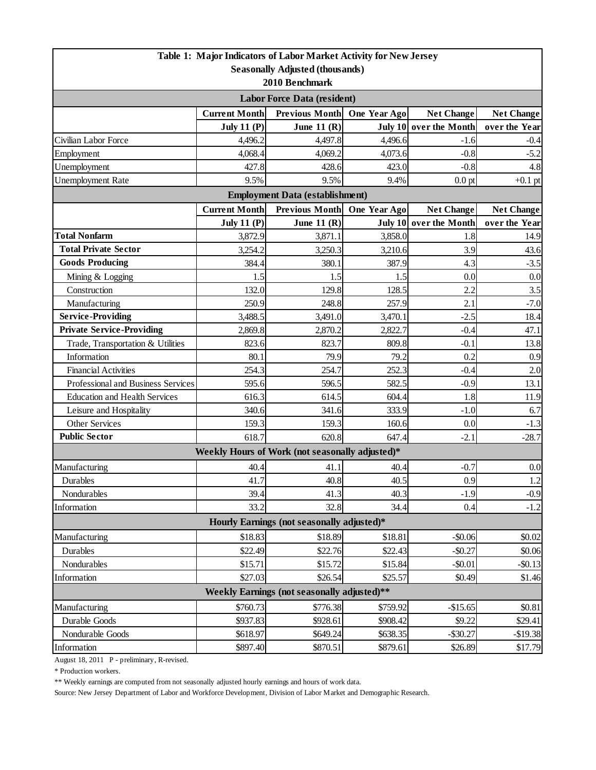| 2010 Benchmark<br><b>Labor Force Data (resident)</b><br><b>Current Month</b><br>Previous Month One Year Ago<br><b>Net Change</b><br><b>Net Change</b><br><b>July 11 (P)</b><br>June 11 $(R)$<br>July 10 over the Month<br>over the Year<br>Civilian Labor Force<br>4,497.8<br>4,496.6<br>4,496.2<br>$-0.4$<br>$-1.6$<br>4,068.4<br>4,069.2<br>4,073.6<br>$-0.8$<br>Employment<br>$-5.2$<br>Unemployment<br>4.8<br>427.8<br>428.6<br>423.0<br>$-0.8$<br>9.5%<br>9.5%<br>9.4%<br><b>Unemployment Rate</b><br>$0.0$ pt<br><b>Employment Data (establishment)</b><br><b>Current Month</b><br>Previous Month One Year Ago<br><b>Net Change</b><br><b>Net Change</b><br><b>July 11 (P)</b><br>June 11 $(R)$<br>July 10 over the Month<br>over the Year<br><b>Total Nonfarm</b><br>1.8<br>3,872.9<br>3,871.1<br>3,858.0<br>14.9<br><b>Total Private Sector</b><br>3.9<br>3,254.2<br>3,250.3<br>3,210.6<br><b>Goods Producing</b><br>384.4<br>387.9<br>380.1<br>4.3<br>$-3.5$<br>0.0<br>0.0<br>Mining & Logging<br>1.5<br>1.5<br>1.5<br>2.2<br>Construction<br>132.0<br>128.5<br>3.5<br>129.8<br>$-7.0$<br>Manufacturing<br>250.9<br>248.8<br>257.9<br>2.1<br><b>Service-Providing</b><br>3,488.5<br>$-2.5$<br>18.4<br>3,491.0<br>3,470.1<br><b>Private Service-Providing</b><br>2,869.8<br>2,870.2<br>2,822.7<br>$-0.4$<br>47.1<br>13.8<br>Trade, Transportation & Utilities<br>823.6<br>823.7<br>809.8<br>$-0.1$<br>Information<br>0.2<br>80.1<br>79.9<br>79.2<br>0.9<br><b>Financial Activities</b><br>254.3<br>254.7<br>252.3<br>$-0.4$<br>2.0<br>Professional and Business Services<br>582.5<br>$-0.9$<br>13.1<br>595.6<br>596.5<br>1.8<br>11.9<br><b>Education and Health Services</b><br>616.3<br>614.5<br>604.4<br>340.6<br>333.9<br>$-1.0$<br>6.7<br>Leisure and Hospitality<br>341.6<br>Other Services<br>159.3<br>159.3<br>160.6<br>0.0<br>$-1.3$<br><b>Public Sector</b><br>618.7<br>620.8<br>647.4<br>$-2.1$<br>$-28.7$<br>Weekly Hours of Work (not seasonally adjusted)*<br>Manufacturing<br>41.1<br>$-0.7$<br>40.4<br>40.4<br>41.7<br>40.8<br>0.9<br>1.2<br>40.5<br>Durables<br>39.4<br>Nondurables<br>41.3<br>40.3<br>$-1.9$<br>$-0.9$<br>32.8<br>33.2<br>$-1.2$<br>Information<br>34.4<br>0.4<br>Hourly Earnings (not seasonally adjusted)*<br>\$18.83<br>\$18.89<br>\$18.81<br>$-$0.06$<br>Manufacturing<br>\$0.02<br>Durables<br>\$22.49<br>\$22.76<br>\$22.43<br>$-$0.27$<br>\$0.06<br>Nondurables<br>\$15.71<br>\$15.72<br>\$15.84<br>$-$0.01$<br>$-$ \$0.13<br>\$27.03<br>\$26.54<br>\$25.57<br>Information<br>\$0.49<br>\$1.46<br>Weekly Earnings (not seasonally adjusted)**<br>\$760.73<br>\$776.38<br>\$759.92<br>$-$15.65$<br>Manufacturing<br>\$0.81<br>Durable Goods<br>\$928.61<br>\$908.42<br>\$937.83<br>\$9.22<br>\$29.41<br>\$618.97<br>\$649.24<br>\$638.35<br>$-$19.38$<br>Nondurable Goods<br>$-$ \$30.27 |                                        |          | Table 1: Major Indicators of Labor Market Activity for New Jersey |          |         |           |  |  |  |
|-----------------------------------------------------------------------------------------------------------------------------------------------------------------------------------------------------------------------------------------------------------------------------------------------------------------------------------------------------------------------------------------------------------------------------------------------------------------------------------------------------------------------------------------------------------------------------------------------------------------------------------------------------------------------------------------------------------------------------------------------------------------------------------------------------------------------------------------------------------------------------------------------------------------------------------------------------------------------------------------------------------------------------------------------------------------------------------------------------------------------------------------------------------------------------------------------------------------------------------------------------------------------------------------------------------------------------------------------------------------------------------------------------------------------------------------------------------------------------------------------------------------------------------------------------------------------------------------------------------------------------------------------------------------------------------------------------------------------------------------------------------------------------------------------------------------------------------------------------------------------------------------------------------------------------------------------------------------------------------------------------------------------------------------------------------------------------------------------------------------------------------------------------------------------------------------------------------------------------------------------------------------------------------------------------------------------------------------------------------------------------------------------------------------------------------------------------------------------------------------------------------------------------------------------------------------------------------------------------------------------------------------------------------------------------------------------------------------------------------------------------------------------------------------------------------------------------------------|----------------------------------------|----------|-------------------------------------------------------------------|----------|---------|-----------|--|--|--|
|                                                                                                                                                                                                                                                                                                                                                                                                                                                                                                                                                                                                                                                                                                                                                                                                                                                                                                                                                                                                                                                                                                                                                                                                                                                                                                                                                                                                                                                                                                                                                                                                                                                                                                                                                                                                                                                                                                                                                                                                                                                                                                                                                                                                                                                                                                                                                                                                                                                                                                                                                                                                                                                                                                                                                                                                                                         | <b>Seasonally Adjusted (thousands)</b> |          |                                                                   |          |         |           |  |  |  |
|                                                                                                                                                                                                                                                                                                                                                                                                                                                                                                                                                                                                                                                                                                                                                                                                                                                                                                                                                                                                                                                                                                                                                                                                                                                                                                                                                                                                                                                                                                                                                                                                                                                                                                                                                                                                                                                                                                                                                                                                                                                                                                                                                                                                                                                                                                                                                                                                                                                                                                                                                                                                                                                                                                                                                                                                                                         |                                        |          |                                                                   |          |         |           |  |  |  |
|                                                                                                                                                                                                                                                                                                                                                                                                                                                                                                                                                                                                                                                                                                                                                                                                                                                                                                                                                                                                                                                                                                                                                                                                                                                                                                                                                                                                                                                                                                                                                                                                                                                                                                                                                                                                                                                                                                                                                                                                                                                                                                                                                                                                                                                                                                                                                                                                                                                                                                                                                                                                                                                                                                                                                                                                                                         |                                        |          |                                                                   |          |         |           |  |  |  |
|                                                                                                                                                                                                                                                                                                                                                                                                                                                                                                                                                                                                                                                                                                                                                                                                                                                                                                                                                                                                                                                                                                                                                                                                                                                                                                                                                                                                                                                                                                                                                                                                                                                                                                                                                                                                                                                                                                                                                                                                                                                                                                                                                                                                                                                                                                                                                                                                                                                                                                                                                                                                                                                                                                                                                                                                                                         |                                        |          |                                                                   |          |         |           |  |  |  |
|                                                                                                                                                                                                                                                                                                                                                                                                                                                                                                                                                                                                                                                                                                                                                                                                                                                                                                                                                                                                                                                                                                                                                                                                                                                                                                                                                                                                                                                                                                                                                                                                                                                                                                                                                                                                                                                                                                                                                                                                                                                                                                                                                                                                                                                                                                                                                                                                                                                                                                                                                                                                                                                                                                                                                                                                                                         |                                        |          |                                                                   |          |         |           |  |  |  |
|                                                                                                                                                                                                                                                                                                                                                                                                                                                                                                                                                                                                                                                                                                                                                                                                                                                                                                                                                                                                                                                                                                                                                                                                                                                                                                                                                                                                                                                                                                                                                                                                                                                                                                                                                                                                                                                                                                                                                                                                                                                                                                                                                                                                                                                                                                                                                                                                                                                                                                                                                                                                                                                                                                                                                                                                                                         |                                        |          |                                                                   |          |         |           |  |  |  |
|                                                                                                                                                                                                                                                                                                                                                                                                                                                                                                                                                                                                                                                                                                                                                                                                                                                                                                                                                                                                                                                                                                                                                                                                                                                                                                                                                                                                                                                                                                                                                                                                                                                                                                                                                                                                                                                                                                                                                                                                                                                                                                                                                                                                                                                                                                                                                                                                                                                                                                                                                                                                                                                                                                                                                                                                                                         |                                        |          |                                                                   |          |         |           |  |  |  |
|                                                                                                                                                                                                                                                                                                                                                                                                                                                                                                                                                                                                                                                                                                                                                                                                                                                                                                                                                                                                                                                                                                                                                                                                                                                                                                                                                                                                                                                                                                                                                                                                                                                                                                                                                                                                                                                                                                                                                                                                                                                                                                                                                                                                                                                                                                                                                                                                                                                                                                                                                                                                                                                                                                                                                                                                                                         |                                        |          |                                                                   |          |         |           |  |  |  |
|                                                                                                                                                                                                                                                                                                                                                                                                                                                                                                                                                                                                                                                                                                                                                                                                                                                                                                                                                                                                                                                                                                                                                                                                                                                                                                                                                                                                                                                                                                                                                                                                                                                                                                                                                                                                                                                                                                                                                                                                                                                                                                                                                                                                                                                                                                                                                                                                                                                                                                                                                                                                                                                                                                                                                                                                                                         |                                        |          |                                                                   |          |         | $+0.1$ pt |  |  |  |
|                                                                                                                                                                                                                                                                                                                                                                                                                                                                                                                                                                                                                                                                                                                                                                                                                                                                                                                                                                                                                                                                                                                                                                                                                                                                                                                                                                                                                                                                                                                                                                                                                                                                                                                                                                                                                                                                                                                                                                                                                                                                                                                                                                                                                                                                                                                                                                                                                                                                                                                                                                                                                                                                                                                                                                                                                                         |                                        |          |                                                                   |          |         |           |  |  |  |
|                                                                                                                                                                                                                                                                                                                                                                                                                                                                                                                                                                                                                                                                                                                                                                                                                                                                                                                                                                                                                                                                                                                                                                                                                                                                                                                                                                                                                                                                                                                                                                                                                                                                                                                                                                                                                                                                                                                                                                                                                                                                                                                                                                                                                                                                                                                                                                                                                                                                                                                                                                                                                                                                                                                                                                                                                                         |                                        |          |                                                                   |          |         |           |  |  |  |
|                                                                                                                                                                                                                                                                                                                                                                                                                                                                                                                                                                                                                                                                                                                                                                                                                                                                                                                                                                                                                                                                                                                                                                                                                                                                                                                                                                                                                                                                                                                                                                                                                                                                                                                                                                                                                                                                                                                                                                                                                                                                                                                                                                                                                                                                                                                                                                                                                                                                                                                                                                                                                                                                                                                                                                                                                                         |                                        |          |                                                                   |          |         |           |  |  |  |
|                                                                                                                                                                                                                                                                                                                                                                                                                                                                                                                                                                                                                                                                                                                                                                                                                                                                                                                                                                                                                                                                                                                                                                                                                                                                                                                                                                                                                                                                                                                                                                                                                                                                                                                                                                                                                                                                                                                                                                                                                                                                                                                                                                                                                                                                                                                                                                                                                                                                                                                                                                                                                                                                                                                                                                                                                                         |                                        |          |                                                                   |          |         |           |  |  |  |
|                                                                                                                                                                                                                                                                                                                                                                                                                                                                                                                                                                                                                                                                                                                                                                                                                                                                                                                                                                                                                                                                                                                                                                                                                                                                                                                                                                                                                                                                                                                                                                                                                                                                                                                                                                                                                                                                                                                                                                                                                                                                                                                                                                                                                                                                                                                                                                                                                                                                                                                                                                                                                                                                                                                                                                                                                                         |                                        |          |                                                                   |          |         | 43.6      |  |  |  |
|                                                                                                                                                                                                                                                                                                                                                                                                                                                                                                                                                                                                                                                                                                                                                                                                                                                                                                                                                                                                                                                                                                                                                                                                                                                                                                                                                                                                                                                                                                                                                                                                                                                                                                                                                                                                                                                                                                                                                                                                                                                                                                                                                                                                                                                                                                                                                                                                                                                                                                                                                                                                                                                                                                                                                                                                                                         |                                        |          |                                                                   |          |         |           |  |  |  |
|                                                                                                                                                                                                                                                                                                                                                                                                                                                                                                                                                                                                                                                                                                                                                                                                                                                                                                                                                                                                                                                                                                                                                                                                                                                                                                                                                                                                                                                                                                                                                                                                                                                                                                                                                                                                                                                                                                                                                                                                                                                                                                                                                                                                                                                                                                                                                                                                                                                                                                                                                                                                                                                                                                                                                                                                                                         |                                        |          |                                                                   |          |         |           |  |  |  |
|                                                                                                                                                                                                                                                                                                                                                                                                                                                                                                                                                                                                                                                                                                                                                                                                                                                                                                                                                                                                                                                                                                                                                                                                                                                                                                                                                                                                                                                                                                                                                                                                                                                                                                                                                                                                                                                                                                                                                                                                                                                                                                                                                                                                                                                                                                                                                                                                                                                                                                                                                                                                                                                                                                                                                                                                                                         |                                        |          |                                                                   |          |         |           |  |  |  |
|                                                                                                                                                                                                                                                                                                                                                                                                                                                                                                                                                                                                                                                                                                                                                                                                                                                                                                                                                                                                                                                                                                                                                                                                                                                                                                                                                                                                                                                                                                                                                                                                                                                                                                                                                                                                                                                                                                                                                                                                                                                                                                                                                                                                                                                                                                                                                                                                                                                                                                                                                                                                                                                                                                                                                                                                                                         |                                        |          |                                                                   |          |         |           |  |  |  |
|                                                                                                                                                                                                                                                                                                                                                                                                                                                                                                                                                                                                                                                                                                                                                                                                                                                                                                                                                                                                                                                                                                                                                                                                                                                                                                                                                                                                                                                                                                                                                                                                                                                                                                                                                                                                                                                                                                                                                                                                                                                                                                                                                                                                                                                                                                                                                                                                                                                                                                                                                                                                                                                                                                                                                                                                                                         |                                        |          |                                                                   |          |         |           |  |  |  |
|                                                                                                                                                                                                                                                                                                                                                                                                                                                                                                                                                                                                                                                                                                                                                                                                                                                                                                                                                                                                                                                                                                                                                                                                                                                                                                                                                                                                                                                                                                                                                                                                                                                                                                                                                                                                                                                                                                                                                                                                                                                                                                                                                                                                                                                                                                                                                                                                                                                                                                                                                                                                                                                                                                                                                                                                                                         |                                        |          |                                                                   |          |         |           |  |  |  |
|                                                                                                                                                                                                                                                                                                                                                                                                                                                                                                                                                                                                                                                                                                                                                                                                                                                                                                                                                                                                                                                                                                                                                                                                                                                                                                                                                                                                                                                                                                                                                                                                                                                                                                                                                                                                                                                                                                                                                                                                                                                                                                                                                                                                                                                                                                                                                                                                                                                                                                                                                                                                                                                                                                                                                                                                                                         |                                        |          |                                                                   |          |         |           |  |  |  |
|                                                                                                                                                                                                                                                                                                                                                                                                                                                                                                                                                                                                                                                                                                                                                                                                                                                                                                                                                                                                                                                                                                                                                                                                                                                                                                                                                                                                                                                                                                                                                                                                                                                                                                                                                                                                                                                                                                                                                                                                                                                                                                                                                                                                                                                                                                                                                                                                                                                                                                                                                                                                                                                                                                                                                                                                                                         |                                        |          |                                                                   |          |         |           |  |  |  |
|                                                                                                                                                                                                                                                                                                                                                                                                                                                                                                                                                                                                                                                                                                                                                                                                                                                                                                                                                                                                                                                                                                                                                                                                                                                                                                                                                                                                                                                                                                                                                                                                                                                                                                                                                                                                                                                                                                                                                                                                                                                                                                                                                                                                                                                                                                                                                                                                                                                                                                                                                                                                                                                                                                                                                                                                                                         |                                        |          |                                                                   |          |         |           |  |  |  |
|                                                                                                                                                                                                                                                                                                                                                                                                                                                                                                                                                                                                                                                                                                                                                                                                                                                                                                                                                                                                                                                                                                                                                                                                                                                                                                                                                                                                                                                                                                                                                                                                                                                                                                                                                                                                                                                                                                                                                                                                                                                                                                                                                                                                                                                                                                                                                                                                                                                                                                                                                                                                                                                                                                                                                                                                                                         |                                        |          |                                                                   |          |         |           |  |  |  |
|                                                                                                                                                                                                                                                                                                                                                                                                                                                                                                                                                                                                                                                                                                                                                                                                                                                                                                                                                                                                                                                                                                                                                                                                                                                                                                                                                                                                                                                                                                                                                                                                                                                                                                                                                                                                                                                                                                                                                                                                                                                                                                                                                                                                                                                                                                                                                                                                                                                                                                                                                                                                                                                                                                                                                                                                                                         |                                        |          |                                                                   |          |         |           |  |  |  |
|                                                                                                                                                                                                                                                                                                                                                                                                                                                                                                                                                                                                                                                                                                                                                                                                                                                                                                                                                                                                                                                                                                                                                                                                                                                                                                                                                                                                                                                                                                                                                                                                                                                                                                                                                                                                                                                                                                                                                                                                                                                                                                                                                                                                                                                                                                                                                                                                                                                                                                                                                                                                                                                                                                                                                                                                                                         |                                        |          |                                                                   |          |         |           |  |  |  |
|                                                                                                                                                                                                                                                                                                                                                                                                                                                                                                                                                                                                                                                                                                                                                                                                                                                                                                                                                                                                                                                                                                                                                                                                                                                                                                                                                                                                                                                                                                                                                                                                                                                                                                                                                                                                                                                                                                                                                                                                                                                                                                                                                                                                                                                                                                                                                                                                                                                                                                                                                                                                                                                                                                                                                                                                                                         |                                        |          |                                                                   |          |         |           |  |  |  |
|                                                                                                                                                                                                                                                                                                                                                                                                                                                                                                                                                                                                                                                                                                                                                                                                                                                                                                                                                                                                                                                                                                                                                                                                                                                                                                                                                                                                                                                                                                                                                                                                                                                                                                                                                                                                                                                                                                                                                                                                                                                                                                                                                                                                                                                                                                                                                                                                                                                                                                                                                                                                                                                                                                                                                                                                                                         |                                        |          |                                                                   |          |         |           |  |  |  |
|                                                                                                                                                                                                                                                                                                                                                                                                                                                                                                                                                                                                                                                                                                                                                                                                                                                                                                                                                                                                                                                                                                                                                                                                                                                                                                                                                                                                                                                                                                                                                                                                                                                                                                                                                                                                                                                                                                                                                                                                                                                                                                                                                                                                                                                                                                                                                                                                                                                                                                                                                                                                                                                                                                                                                                                                                                         |                                        |          |                                                                   |          |         |           |  |  |  |
|                                                                                                                                                                                                                                                                                                                                                                                                                                                                                                                                                                                                                                                                                                                                                                                                                                                                                                                                                                                                                                                                                                                                                                                                                                                                                                                                                                                                                                                                                                                                                                                                                                                                                                                                                                                                                                                                                                                                                                                                                                                                                                                                                                                                                                                                                                                                                                                                                                                                                                                                                                                                                                                                                                                                                                                                                                         |                                        |          |                                                                   |          |         | 0.0       |  |  |  |
|                                                                                                                                                                                                                                                                                                                                                                                                                                                                                                                                                                                                                                                                                                                                                                                                                                                                                                                                                                                                                                                                                                                                                                                                                                                                                                                                                                                                                                                                                                                                                                                                                                                                                                                                                                                                                                                                                                                                                                                                                                                                                                                                                                                                                                                                                                                                                                                                                                                                                                                                                                                                                                                                                                                                                                                                                                         |                                        |          |                                                                   |          |         |           |  |  |  |
|                                                                                                                                                                                                                                                                                                                                                                                                                                                                                                                                                                                                                                                                                                                                                                                                                                                                                                                                                                                                                                                                                                                                                                                                                                                                                                                                                                                                                                                                                                                                                                                                                                                                                                                                                                                                                                                                                                                                                                                                                                                                                                                                                                                                                                                                                                                                                                                                                                                                                                                                                                                                                                                                                                                                                                                                                                         |                                        |          |                                                                   |          |         |           |  |  |  |
|                                                                                                                                                                                                                                                                                                                                                                                                                                                                                                                                                                                                                                                                                                                                                                                                                                                                                                                                                                                                                                                                                                                                                                                                                                                                                                                                                                                                                                                                                                                                                                                                                                                                                                                                                                                                                                                                                                                                                                                                                                                                                                                                                                                                                                                                                                                                                                                                                                                                                                                                                                                                                                                                                                                                                                                                                                         |                                        |          |                                                                   |          |         |           |  |  |  |
|                                                                                                                                                                                                                                                                                                                                                                                                                                                                                                                                                                                                                                                                                                                                                                                                                                                                                                                                                                                                                                                                                                                                                                                                                                                                                                                                                                                                                                                                                                                                                                                                                                                                                                                                                                                                                                                                                                                                                                                                                                                                                                                                                                                                                                                                                                                                                                                                                                                                                                                                                                                                                                                                                                                                                                                                                                         |                                        |          |                                                                   |          |         |           |  |  |  |
|                                                                                                                                                                                                                                                                                                                                                                                                                                                                                                                                                                                                                                                                                                                                                                                                                                                                                                                                                                                                                                                                                                                                                                                                                                                                                                                                                                                                                                                                                                                                                                                                                                                                                                                                                                                                                                                                                                                                                                                                                                                                                                                                                                                                                                                                                                                                                                                                                                                                                                                                                                                                                                                                                                                                                                                                                                         |                                        |          |                                                                   |          |         |           |  |  |  |
|                                                                                                                                                                                                                                                                                                                                                                                                                                                                                                                                                                                                                                                                                                                                                                                                                                                                                                                                                                                                                                                                                                                                                                                                                                                                                                                                                                                                                                                                                                                                                                                                                                                                                                                                                                                                                                                                                                                                                                                                                                                                                                                                                                                                                                                                                                                                                                                                                                                                                                                                                                                                                                                                                                                                                                                                                                         |                                        |          |                                                                   |          |         |           |  |  |  |
|                                                                                                                                                                                                                                                                                                                                                                                                                                                                                                                                                                                                                                                                                                                                                                                                                                                                                                                                                                                                                                                                                                                                                                                                                                                                                                                                                                                                                                                                                                                                                                                                                                                                                                                                                                                                                                                                                                                                                                                                                                                                                                                                                                                                                                                                                                                                                                                                                                                                                                                                                                                                                                                                                                                                                                                                                                         |                                        |          |                                                                   |          |         |           |  |  |  |
|                                                                                                                                                                                                                                                                                                                                                                                                                                                                                                                                                                                                                                                                                                                                                                                                                                                                                                                                                                                                                                                                                                                                                                                                                                                                                                                                                                                                                                                                                                                                                                                                                                                                                                                                                                                                                                                                                                                                                                                                                                                                                                                                                                                                                                                                                                                                                                                                                                                                                                                                                                                                                                                                                                                                                                                                                                         |                                        |          |                                                                   |          |         |           |  |  |  |
|                                                                                                                                                                                                                                                                                                                                                                                                                                                                                                                                                                                                                                                                                                                                                                                                                                                                                                                                                                                                                                                                                                                                                                                                                                                                                                                                                                                                                                                                                                                                                                                                                                                                                                                                                                                                                                                                                                                                                                                                                                                                                                                                                                                                                                                                                                                                                                                                                                                                                                                                                                                                                                                                                                                                                                                                                                         |                                        |          |                                                                   |          |         |           |  |  |  |
|                                                                                                                                                                                                                                                                                                                                                                                                                                                                                                                                                                                                                                                                                                                                                                                                                                                                                                                                                                                                                                                                                                                                                                                                                                                                                                                                                                                                                                                                                                                                                                                                                                                                                                                                                                                                                                                                                                                                                                                                                                                                                                                                                                                                                                                                                                                                                                                                                                                                                                                                                                                                                                                                                                                                                                                                                                         |                                        |          |                                                                   |          |         |           |  |  |  |
|                                                                                                                                                                                                                                                                                                                                                                                                                                                                                                                                                                                                                                                                                                                                                                                                                                                                                                                                                                                                                                                                                                                                                                                                                                                                                                                                                                                                                                                                                                                                                                                                                                                                                                                                                                                                                                                                                                                                                                                                                                                                                                                                                                                                                                                                                                                                                                                                                                                                                                                                                                                                                                                                                                                                                                                                                                         |                                        |          |                                                                   |          |         |           |  |  |  |
|                                                                                                                                                                                                                                                                                                                                                                                                                                                                                                                                                                                                                                                                                                                                                                                                                                                                                                                                                                                                                                                                                                                                                                                                                                                                                                                                                                                                                                                                                                                                                                                                                                                                                                                                                                                                                                                                                                                                                                                                                                                                                                                                                                                                                                                                                                                                                                                                                                                                                                                                                                                                                                                                                                                                                                                                                                         |                                        |          |                                                                   |          |         |           |  |  |  |
|                                                                                                                                                                                                                                                                                                                                                                                                                                                                                                                                                                                                                                                                                                                                                                                                                                                                                                                                                                                                                                                                                                                                                                                                                                                                                                                                                                                                                                                                                                                                                                                                                                                                                                                                                                                                                                                                                                                                                                                                                                                                                                                                                                                                                                                                                                                                                                                                                                                                                                                                                                                                                                                                                                                                                                                                                                         | Information                            | \$897.40 | \$870.51                                                          | \$879.61 | \$26.89 | \$17.79   |  |  |  |

August 18, 2011 P - preliminary, R-revised.

\* Production workers.

\*\* Weekly earnings are computed from not seasonally adjusted hourly earnings and hours of work data.

Source: New Jersey Department of Labor and Workforce Development, Division of Labor Market and Demographic Research.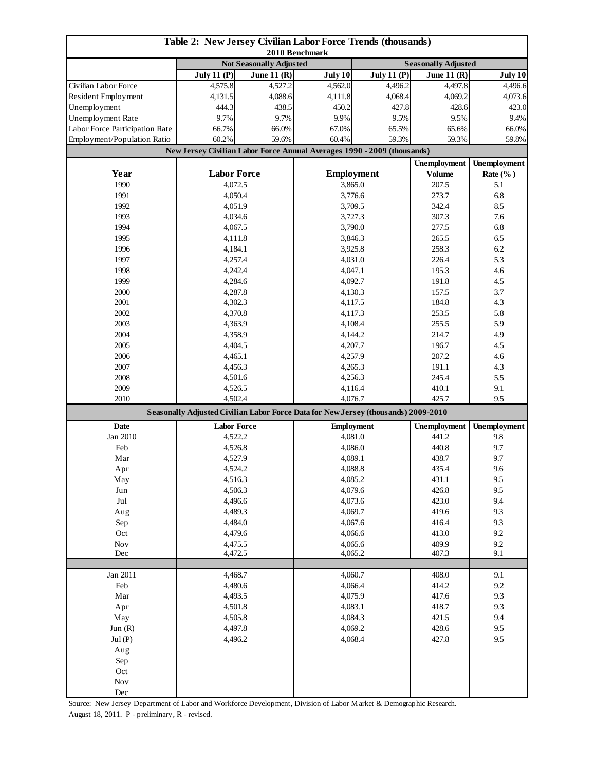| Table 2: New Jersey Civilian Labor Force Trends (thousands)<br>2010 Benchmark |                                                                         |               |                                                                                                                                                |               |                            |              |  |
|-------------------------------------------------------------------------------|-------------------------------------------------------------------------|---------------|------------------------------------------------------------------------------------------------------------------------------------------------|---------------|----------------------------|--------------|--|
|                                                                               | <b>Not Seasonally Adjusted</b>                                          |               |                                                                                                                                                |               | <b>Seasonally Adjusted</b> |              |  |
|                                                                               | <b>July 11 (P)</b>                                                      | June 11 $(R)$ | July 10                                                                                                                                        | July 11 $(P)$ | <b>June 11 (R)</b>         | July 10      |  |
| Civilian Labor Force                                                          | 4,575.8                                                                 | 4,527.2       | 4,562.0                                                                                                                                        | 4,496.2       | 4,497.8                    | 4,496.6      |  |
| Resident Employment                                                           | 4,131.5                                                                 | 4,088.6       | 4,111.8                                                                                                                                        | 4,068.4       | 4,069.2                    | 4,073.6      |  |
| Unemployment                                                                  | 444.3                                                                   | 438.5         | 450.2                                                                                                                                          | 427.8         | 428.6                      | 423.0        |  |
| Unemployment Rate                                                             | 9.7%                                                                    | 9.7%          | 9.9%                                                                                                                                           | 9.5%          | 9.5%                       | 9.4%         |  |
| Labor Force Participation Rate                                                | 66.7%                                                                   | 66.0%         | 67.0%                                                                                                                                          | 65.5%         | 65.6%                      | 66.0%        |  |
| Employment/Population Ratio                                                   | 60.2%                                                                   | 59.6%         | 59.3%<br>60.4%                                                                                                                                 |               | 59.3%                      | 59.8%        |  |
|                                                                               | New Jersey Civilian Labor Force Annual Averages 1990 - 2009 (thousands) |               |                                                                                                                                                |               |                            |              |  |
|                                                                               |                                                                         |               |                                                                                                                                                |               | <b>Unemployment</b>        | Unemployment |  |
| Year                                                                          | <b>Labor Force</b>                                                      |               |                                                                                                                                                | Employment    | <b>Volume</b><br>207.5     | Rate $(\%$ ) |  |
| 1990                                                                          | 4,072.5                                                                 |               |                                                                                                                                                | 3,865.0       |                            | 5.1          |  |
| 1991                                                                          | 4,050.4                                                                 |               | 3,776.6                                                                                                                                        |               | 273.7                      | 6.8          |  |
| 1992                                                                          | 4,051.9                                                                 |               | 3,709.5                                                                                                                                        |               | 342.4                      | 8.5          |  |
| 1993                                                                          | 4,034.6                                                                 |               | 3,727.3                                                                                                                                        |               | 307.3                      | 7.6          |  |
| 1994                                                                          | 4,067.5                                                                 |               |                                                                                                                                                | 3,790.0       | 277.5                      | 6.8          |  |
| 1995                                                                          | 4,111.8                                                                 |               | 3,846.3                                                                                                                                        |               | 265.5                      | 6.5          |  |
| 1996                                                                          | 4,184.1                                                                 |               |                                                                                                                                                | 3,925.8       | 258.3                      | 6.2          |  |
| 1997                                                                          | 4,257.4                                                                 |               |                                                                                                                                                | 4,031.0       | 226.4                      | 5.3          |  |
| 1998                                                                          | 4,242.4                                                                 |               | 4,047.1                                                                                                                                        |               | 195.3                      | 4.6          |  |
| 1999                                                                          | 4,284.6                                                                 |               |                                                                                                                                                | 4,092.7       | 191.8                      | 4.5          |  |
| 2000                                                                          | 4,287.8                                                                 |               | 4,130.3                                                                                                                                        |               | 157.5                      | 3.7          |  |
| 2001                                                                          | 4,302.3                                                                 |               | 4,117.5                                                                                                                                        |               | 184.8                      | 4.3          |  |
| 2002                                                                          | 4,370.8                                                                 |               | 4,117.3                                                                                                                                        |               | 253.5                      | 5.8          |  |
| 2003                                                                          | 4,363.9                                                                 |               | 4,108.4                                                                                                                                        |               | 255.5                      | 5.9          |  |
| 2004                                                                          | 4,358.9                                                                 |               | 4,144.2                                                                                                                                        |               | 214.7                      | 4.9          |  |
| 2005                                                                          | 4,404.5                                                                 |               | 4,207.7                                                                                                                                        |               | 196.7                      | 4.5          |  |
| 2006                                                                          | 4,465.1                                                                 |               | 4,257.9                                                                                                                                        |               | 207.2                      | 4.6          |  |
| 2007                                                                          | 4,456.3                                                                 |               | 4,265.3                                                                                                                                        |               | 191.1                      | 4.3          |  |
| 2008                                                                          | 4,501.6                                                                 |               | 4,256.3                                                                                                                                        |               | 245.4                      | 5.5          |  |
| 2009<br>2010                                                                  | 4,526.5                                                                 |               | 4,116.4<br>4,076.7                                                                                                                             |               | 410.1<br>425.7             | 9.1<br>9.5   |  |
|                                                                               | 4,502.4                                                                 |               |                                                                                                                                                |               |                            |              |  |
| <b>Date</b>                                                                   | <b>Labor Force</b>                                                      |               | Seasonally Adjusted Civilian Labor Force Data for New Jersey (thousands) 2009-2010<br><b>Unemployment</b><br><b>Employment</b><br>Unemployment |               |                            |              |  |
| Jan 2010                                                                      | 4,522.2                                                                 |               |                                                                                                                                                | 4,081.0       |                            | 9.8          |  |
| Feb                                                                           | 4,526.8                                                                 |               | 4,086.0                                                                                                                                        |               | 441.2<br>440.8             | 9.7          |  |
| Mar                                                                           | 4,527.9                                                                 |               | 4,089.1                                                                                                                                        |               | 438.7                      | 9.7          |  |
| Apr                                                                           | 4,524.2                                                                 |               | 4,088.8                                                                                                                                        |               | 435.4                      | 9.6          |  |
| May                                                                           | 4,516.3                                                                 |               | 4,085.2                                                                                                                                        |               | 431.1                      | 9.5          |  |
| Jun                                                                           | 4,506.3                                                                 |               | 4,079.6                                                                                                                                        |               | 426.8                      | 9.5          |  |
| $_{\rm{Jul}}$                                                                 | 4,496.6                                                                 |               | 4,073.6                                                                                                                                        |               | 423.0                      | 9.4          |  |
| Aug                                                                           | 4,489.3                                                                 |               | 4,069.7                                                                                                                                        |               | 419.6                      | 9.3          |  |
| Sep                                                                           | 4,484.0                                                                 |               | 4,067.6                                                                                                                                        |               | 416.4                      | 9.3          |  |
| Oct                                                                           | 4,479.6                                                                 |               | 4,066.6                                                                                                                                        |               | 413.0                      | 9.2          |  |
| Nov                                                                           | 4,475.5                                                                 |               | 4,065.6                                                                                                                                        |               | 409.9                      | 9.2          |  |
| Dec                                                                           | 4,472.5                                                                 |               | 4,065.2                                                                                                                                        |               | 407.3                      | 9.1          |  |
|                                                                               |                                                                         |               |                                                                                                                                                |               |                            |              |  |
| Jan 2011                                                                      | 4,468.7                                                                 |               | 4,060.7                                                                                                                                        |               | 408.0                      | 9.1          |  |
| Feb                                                                           | 4,480.6                                                                 |               | 4,066.4                                                                                                                                        |               | 414.2                      | 9.2          |  |
| Mar                                                                           | 4,493.5                                                                 |               | 4,075.9                                                                                                                                        |               | 417.6                      | 9.3          |  |
| Apr                                                                           | 4,501.8                                                                 |               | 4,083.1                                                                                                                                        |               | 418.7                      | 9.3          |  |
| May                                                                           | 4,505.8                                                                 |               | 4,084.3                                                                                                                                        |               | 421.5                      | 9.4          |  |
| Jun $(R)$                                                                     | 4,497.8                                                                 |               | 4,069.2                                                                                                                                        |               | 428.6                      | 9.5          |  |
| Jul(P)                                                                        | 4,496.2                                                                 |               | 4,068.4                                                                                                                                        |               | 427.8                      | 9.5          |  |
| Aug                                                                           |                                                                         |               |                                                                                                                                                |               |                            |              |  |
| Sep                                                                           |                                                                         |               |                                                                                                                                                |               |                            |              |  |
| Oct                                                                           |                                                                         |               |                                                                                                                                                |               |                            |              |  |
| $\operatorname{Nov}$                                                          |                                                                         |               |                                                                                                                                                |               |                            |              |  |
| Dec                                                                           |                                                                         |               |                                                                                                                                                |               |                            |              |  |

Source: New Jersey Department of Labor and Workforce Development, Division of Labor Market & Demographic Research. August 18, 2011. P - preliminary, R - revised.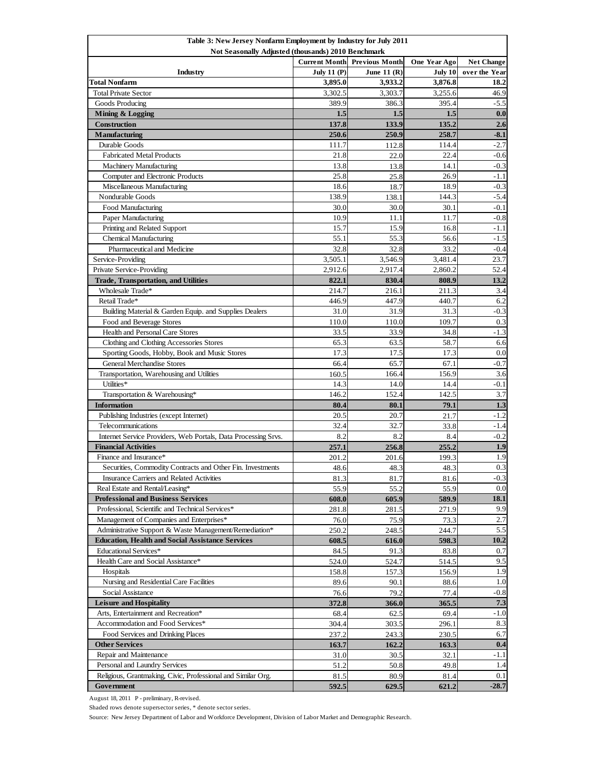| Table 3: New Jersey Nonfarm Employment by Industry for July 2011                              |                      |                       |              |                   |  |  |
|-----------------------------------------------------------------------------------------------|----------------------|-----------------------|--------------|-------------------|--|--|
| Not Seasonally Adjusted (thousands) 2010 Benchmark                                            |                      |                       |              |                   |  |  |
|                                                                                               | <b>Current Month</b> | <b>Previous Month</b> | One Year Ago | <b>Net Change</b> |  |  |
| Industry                                                                                      | <b>July 11 (P)</b>   | June 11 $(R)$         | July 10      | over the Year     |  |  |
| Total Nonfarm                                                                                 | 3,895.0              | 3,933.2               | 3,876.8      | 18.2              |  |  |
| <b>Total Private Sector</b>                                                                   | 3,302.5              | 3,303.7               | 3,255.6      | 46.9              |  |  |
| Goods Producing                                                                               | 389.9                | 386.3                 | 395.4        | $-5.5$            |  |  |
| Mining & Logging                                                                              | 1.5                  | 1.5                   | 1.5          | 0.0               |  |  |
| Construction                                                                                  | 137.8                | 133.9                 | 135.2        | 2.6               |  |  |
| <b>Manufacturing</b>                                                                          | 250.6                | 250.9                 | 258.7        | $-8.1$            |  |  |
| Durable Goods                                                                                 | 111.7                | 112.8                 | 114.4        | $-2.7$            |  |  |
| <b>Fabricated Metal Products</b>                                                              | 21.8                 | 22.0                  | 22.4         | $-0.6$            |  |  |
| <b>Machinery Manufacturing</b>                                                                | 13.8                 | 13.8                  | 14.1         | $-0.3$            |  |  |
| Computer and Electronic Products                                                              | 25.8                 | 25.8                  | 26.9         | $-1.1$            |  |  |
| Miscellaneous Manufacturing                                                                   | 18.6                 | 18.7                  | 18.9         | $-0.3$            |  |  |
| Nondurable Goods                                                                              | 138.9                | 138.1                 | 144.3        | $-5.4$            |  |  |
| Food Manufacturing                                                                            | 30.0                 | 30.0                  | 30.1         | $-0.1$            |  |  |
| Paper Manufacturing                                                                           | 10.9                 | 11.1                  | 11.7         | $-0.8$            |  |  |
| Printing and Related Support                                                                  | 15.7                 | 15.9                  | 16.8         | $-1.1$            |  |  |
| <b>Chemical Manufacturing</b>                                                                 | 55.1                 | 55.3                  | 56.6         | $-1.5$            |  |  |
| Pharmaceutical and Medicine                                                                   | 32.8                 | 32.8                  | 33.2         | $-0.4$            |  |  |
| Service-Providing                                                                             | 3,505.1              | 3,546.9               | 3,481.4      | 23.7              |  |  |
| Private Service-Providing                                                                     | 2,912.6              | 2,917.4               | 2.860.2      | 52.4              |  |  |
| <b>Trade, Transportation, and Utilities</b>                                                   | 822.1                | 830.4                 | 808.9        | 13.2              |  |  |
| Wholesale Trade*                                                                              | 214.7                | 216.1                 | 211.3        | 3.4               |  |  |
| Retail Trade*                                                                                 | 446.9                | 447.9                 | 440.7        | 6.2               |  |  |
| Building Material & Garden Equip. and Supplies Dealers                                        | 31.0                 | 31.9                  | 31.3         | $-0.3$            |  |  |
| Food and Beverage Stores                                                                      | 110.0                | 110.0                 | 109.7        | 0.3               |  |  |
| Health and Personal Care Stores                                                               | 33.5                 | 33.9                  | 34.8         | $-1.3$            |  |  |
| Clothing and Clothing Accessories Stores                                                      | 65.3                 | 63.5                  | 58.7         | 6.6               |  |  |
| Sporting Goods, Hobby, Book and Music Stores                                                  | 17.3                 | 17.5                  | 17.3         | 0.0               |  |  |
| <b>General Merchandise Stores</b>                                                             | 66.4                 | 65.7                  | 67.1         | $-0.7$            |  |  |
| Transportation, Warehousing and Utilities                                                     | 160.5                | 166.4                 | 156.9        | 3.6               |  |  |
| Utilities*                                                                                    | 14.3                 | 14.0                  | 14.4         | $-0.1$            |  |  |
| Transportation & Warehousing*                                                                 | 146.2                | 152.4                 | 142.5        | 3.7               |  |  |
| <b>Information</b>                                                                            | 80.4                 | 80.1                  | 79.1         | 1.3               |  |  |
| Publishing Industries (except Internet)                                                       | 20.5                 | 20.7                  | 21.7         | $-1.2$            |  |  |
| Telecommunications                                                                            | 32.4                 | 32.7                  | 33.8         | -1.4              |  |  |
| Internet Service Providers, Web Portals, Data Processing Srvs.                                | 8.2                  | 8.2                   | 8.4          | $-0.2$            |  |  |
| <b>Financial Activities</b>                                                                   | 257.1                | 256.8                 | 255.2        | 1.9               |  |  |
| Finance and Insurance*                                                                        | 201.2                | 201.6                 | 199.3        | 1.9               |  |  |
| Securities, Commodity Contracts and Other Fin. Investments                                    | 48.6                 | 48.3                  | 48.3         | 0.3               |  |  |
| Insurance Carriers and Related Activities                                                     | 81.3                 | 81.7                  | 81.6         | $-0.3$            |  |  |
| Real Estate and Rental/Leasing*                                                               | 55.9                 | 55.2                  | 55.9         | 0.0               |  |  |
| <b>Professional and Business Services</b>                                                     | 608.0                | 605.9                 | 589.9        | 18.1              |  |  |
| Professional, Scientific and Technical Services*                                              | 281.8                | 281.5                 | 271.9        | 9.9<br>2.7        |  |  |
| Management of Companies and Enterprises*                                                      | 76.0                 | 75.9                  | 73.3         | $\overline{5.5}$  |  |  |
| Administrative Support & Waste Management/Remediation*                                        | 250.2                | 248.5                 | 244.7        | 10.2              |  |  |
| <b>Education, Health and Social Assistance Services</b>                                       | 608.5                | 616.0                 | 598.3        |                   |  |  |
| Educational Services*                                                                         | 84.5                 | 91.3                  | 83.8         | 0.7               |  |  |
| Health Care and Social Assistance*                                                            | 524.0                | 524.7                 | 514.5        | 9.5               |  |  |
| Hospitals                                                                                     | 158.8                | 157.3                 | 156.9        | 1.9<br>1.0        |  |  |
| Nursing and Residential Care Facilities                                                       | 89.6                 | 90.1                  | 88.6         |                   |  |  |
| Social Assistance                                                                             | 76.6                 | 79.2                  | 77.4         | $-0.8$            |  |  |
| <b>Leisure and Hospitality</b>                                                                | 372.8                | 366.0                 | 365.5        | 7.3               |  |  |
| Arts, Entertainment and Recreation*                                                           | 68.4                 | 62.5                  | 69.4         | $-1.0$            |  |  |
| Accommodation and Food Services*                                                              | 304.4                | 303.5                 | 296.1        | 8.3<br>6.7        |  |  |
| Food Services and Drinking Places                                                             | 237.2                | 243.3                 | 230.5        |                   |  |  |
| <b>Other Services</b>                                                                         | 163.7                | 162.2                 | 163.3        | 0.4               |  |  |
| Repair and Maintenance                                                                        | 31.0                 | 30.5                  | 32.1         | -1.1              |  |  |
| Personal and Laundry Services<br>Religious, Grantmaking, Civic, Professional and Similar Org. | 51.2                 | 50.8                  | 49.8         | 1.4<br>0.1        |  |  |
|                                                                                               | 81.5                 | 80.9                  | 81.4         | $-28.7$           |  |  |
| Government                                                                                    | 592.5                | 629.5                 | 621.2        |                   |  |  |

August 18, 2011 P - preliminary, R-revised.

Shaded rows denote supersector series, \* denote sector series.

Source: New Jersey Department of Labor and Workforce Development, Division of Labor Market and Demographic Research.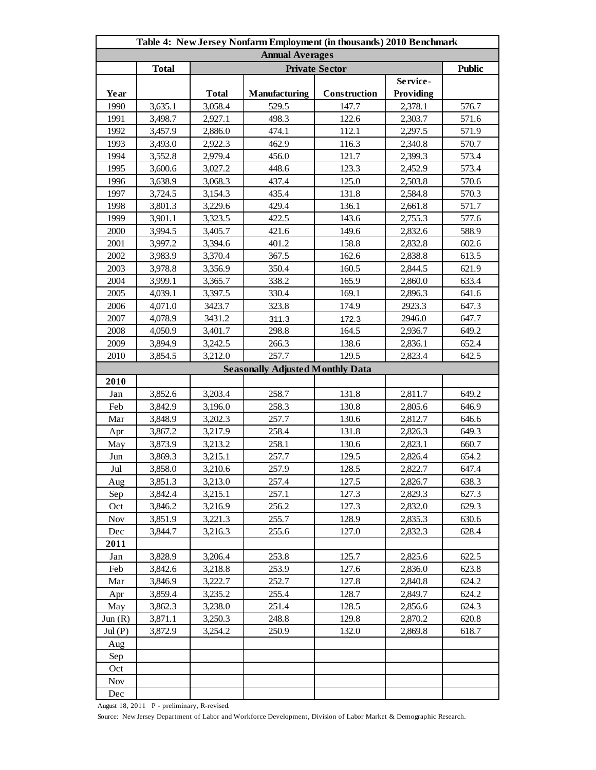| Table 4: New Jersey Nonfarm Employment (in thousands) 2010 Benchmark |              |              |                                         |              |                  |       |  |
|----------------------------------------------------------------------|--------------|--------------|-----------------------------------------|--------------|------------------|-------|--|
| <b>Annual Averages</b>                                               |              |              |                                         |              |                  |       |  |
|                                                                      | <b>Total</b> |              | <b>Private Sector</b>                   |              |                  |       |  |
|                                                                      |              |              |                                         |              | Service-         |       |  |
| Year                                                                 |              | <b>Total</b> | Manufacturing                           | Construction | <b>Providing</b> |       |  |
| 1990                                                                 | 3,635.1      | 3,058.4      | 529.5                                   | 147.7        | 2,378.1          | 576.7 |  |
| 1991                                                                 | 3,498.7      | 2,927.1      | 498.3                                   | 122.6        | 2,303.7          | 571.6 |  |
| 1992                                                                 | 3,457.9      | 2,886.0      | 474.1                                   | 112.1        | 2,297.5          | 571.9 |  |
| 1993                                                                 | 3,493.0      | 2,922.3      | 462.9                                   | 116.3        | 2,340.8          | 570.7 |  |
| 1994                                                                 | 3,552.8      | 2,979.4      | 456.0                                   | 121.7        | 2,399.3          | 573.4 |  |
| 1995                                                                 | 3,600.6      | 3,027.2      | 448.6                                   | 123.3        | 2,452.9          | 573.4 |  |
| 1996                                                                 | 3,638.9      | 3,068.3      | 437.4                                   | 125.0        | 2,503.8          | 570.6 |  |
| 1997                                                                 | 3,724.5      | 3,154.3      | 435.4                                   | 131.8        | 2,584.8          | 570.3 |  |
| 1998                                                                 | 3,801.3      | 3,229.6      | 429.4                                   | 136.1        | 2,661.8          | 571.7 |  |
| 1999                                                                 | 3,901.1      | 3,323.5      | 422.5                                   | 143.6        | 2,755.3          | 577.6 |  |
| 2000                                                                 | 3,994.5      | 3,405.7      | 421.6                                   | 149.6        | 2,832.6          | 588.9 |  |
| 2001                                                                 | 3,997.2      | 3,394.6      | 401.2                                   | 158.8        | 2,832.8          | 602.6 |  |
| 2002                                                                 | 3,983.9      | 3,370.4      | 367.5                                   | 162.6        | 2,838.8          | 613.5 |  |
| 2003                                                                 | 3,978.8      | 3,356.9      | 350.4                                   | 160.5        | 2,844.5          | 621.9 |  |
| 2004                                                                 | 3,999.1      | 3,365.7      | 338.2                                   | 165.9        | 2,860.0          | 633.4 |  |
| 2005                                                                 | 4,039.1      | 3,397.5      | 330.4                                   | 169.1        | 2,896.3          | 641.6 |  |
| 2006                                                                 | 4,071.0      | 3423.7       | 323.8                                   | 174.9        | 2923.3           | 647.3 |  |
| 2007                                                                 | 4,078.9      | 3431.2       | 311.3                                   | 172.3        | 2946.0           | 647.7 |  |
| 2008                                                                 | 4,050.9      | 3,401.7      | 298.8                                   | 164.5        | 2,936.7          | 649.2 |  |
| 2009                                                                 | 3,894.9      | 3,242.5      | 266.3                                   | 138.6        | 2,836.1          | 652.4 |  |
| 2010                                                                 | 3,854.5      | 3,212.0      | 257.7                                   | 129.5        | 2,823.4          | 642.5 |  |
|                                                                      |              |              | <b>Seasonally Adjusted Monthly Data</b> |              |                  |       |  |
| 2010                                                                 |              |              |                                         |              |                  |       |  |
| Jan                                                                  | 3,852.6      | 3,203.4      | 258.7                                   | 131.8        | 2,811.7          | 649.2 |  |
| Feb                                                                  | 3,842.9      | 3,196.0      | 258.3                                   | 130.8        | 2,805.6          | 646.9 |  |
| Mar                                                                  | 3,848.9      | 3,202.3      | 257.7                                   | 130.6        | 2,812.7          | 646.6 |  |
| Apr                                                                  | 3,867.2      | 3,217.9      | 258.4                                   | 131.8        | 2,826.3          | 649.3 |  |
| May                                                                  | 3,873.9      | 3,213.2      | 258.1                                   | 130.6        | 2,823.1          | 660.7 |  |
| Jun                                                                  | 3,869.3      | 3,215.1      | 257.7                                   | 129.5        | 2,826.4          | 654.2 |  |
| Jul                                                                  | 3,858.0      | 3,210.6      | 257.9                                   | 128.5        | 2,822.7          | 647.4 |  |
| Aug                                                                  | 3,851.3      | 3,213.0      | 257.4                                   | 127.5        | 2,826.7          | 638.3 |  |
| Sep                                                                  | 3,842.4      | 3,215.1      | 257.1                                   | 127.3        | 2,829.3          | 627.3 |  |
| Oct                                                                  | 3,846.2      | 3,216.9      | 256.2                                   | 127.3        | 2,832.0          | 629.3 |  |
| <b>Nov</b>                                                           | 3,851.9      | 3,221.3      | 255.7                                   | 128.9        | 2,835.3          | 630.6 |  |
| Dec                                                                  | 3,844.7      | 3,216.3      | 255.6                                   | 127.0        | 2,832.3          | 628.4 |  |
| 2011                                                                 |              |              |                                         |              |                  |       |  |
| Jan                                                                  | 3.828.9      | 3,206.4      | 253.8                                   | 125.7        | 2,825.6          | 622.5 |  |
| Feb                                                                  | 3,842.6      | 3,218.8      | 253.9                                   | 127.6        | 2,836.0          | 623.8 |  |
| Mar                                                                  | 3,846.9      | 3,222.7      | 252.7                                   | 127.8        | 2,840.8          | 624.2 |  |
| Apr                                                                  | 3,859.4      | 3,235.2      | 255.4                                   | 128.7        | 2,849.7          | 624.2 |  |
| May                                                                  | 3,862.3      | 3,238.0      | 251.4                                   | 128.5        | 2,856.6          | 624.3 |  |
| Jun(R)                                                               | 3,871.1      | 3,250.3      | 248.8                                   | 129.8        | 2,870.2          | 620.8 |  |
| Jul(P)                                                               | 3,872.9      | 3,254.2      | 250.9                                   | 132.0        | 2,869.8          | 618.7 |  |
| Aug                                                                  |              |              |                                         |              |                  |       |  |
| Sep                                                                  |              |              |                                         |              |                  |       |  |
| Oct                                                                  |              |              |                                         |              |                  |       |  |
| <b>Nov</b>                                                           |              |              |                                         |              |                  |       |  |
| Dec                                                                  |              |              |                                         |              |                  |       |  |

August 18, 2011 P - preliminary, R-revised.

Source: New Jersey Department of Labor and Workforce Development, Division of Labor Market & Demographic Research.